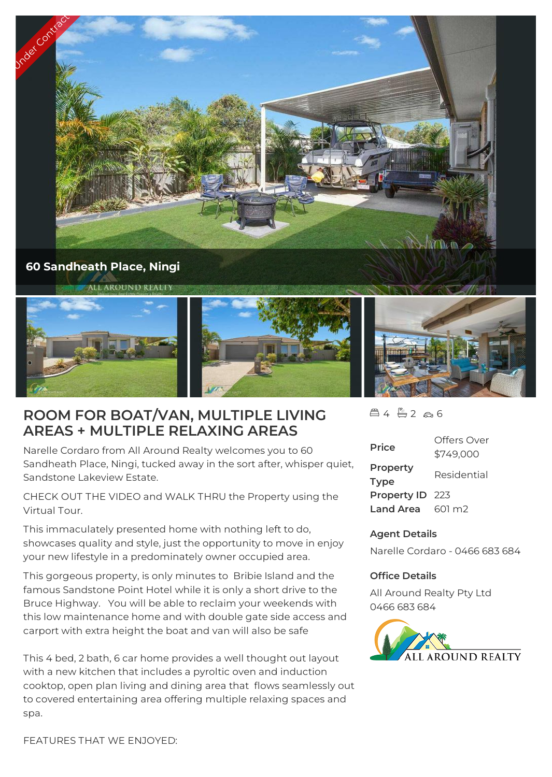

## **ROOM FOR BOAT/VAN, MULTIPLE LIVING AREAS + MULTIPLE RELAXING AREAS**

Narelle Cordaro from All Around Realty welcomes you to 60 Sandheath Place, Ningi, tucked away in the sort after, whisper quiet, Sandstone Lakeview Estate.

CHECK OUT THE VIDEO and WALK THRU the Property using the Virtual Tour.

This immaculately presented home with nothing left to do, showcases quality and style, just the opportunity to move in enjoy your new lifestyle in a predominately owner occupied area.

This gorgeous property, is only minutes to Bribie Island and the famous Sandstone Point Hotel while it is only a short drive to the Bruce Highway. You will be able to reclaim your weekends with this low maintenance home and with double gate side access and carport with extra height the boat and van will also be safe

This 4 bed, 2 bath, 6 car home provides a well thought out layout with a new kitchen that includes a pyroltic oven and induction cooktop, open plan living and dining area that flows seamlessly out to covered entertaining area offering multiple relaxing spaces and spa.

 $4 - 2 - 6$ 

| <b>Price</b>            | Offers Over<br>\$749,000 |
|-------------------------|--------------------------|
| Property<br><b>Type</b> | Residential              |
| Property ID 223         |                          |
| <b>Land Area</b>        | 601 m2                   |

## **Agent Details**

Narelle Cordaro - 0466 683 684

## **Office Details**

All Around Realty Pty Ltd 0466 683 684